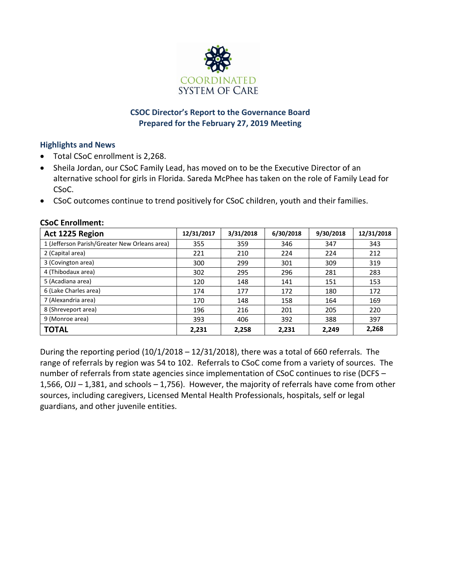

## **CSOC Director's Report to the Governance Board Prepared for the February 27, 2019 Meeting**

### **Highlights and News**

- Total CSoC enrollment is 2,268.
- Sheila Jordan, our CSoC Family Lead, has moved on to be the Executive Director of an alternative school for girls in Florida. Sareda McPhee has taken on the role of Family Lead for CSoC.
- CSoC outcomes continue to trend positively for CSoC children, youth and their families.

| Act 1225 Region                               | 12/31/2017 | 3/31/2018 | 6/30/2018 | 9/30/2018 | 12/31/2018 |
|-----------------------------------------------|------------|-----------|-----------|-----------|------------|
| 1 (Jefferson Parish/Greater New Orleans area) | 355        | 359       | 346       | 347       | 343        |
| 2 (Capital area)                              | 221        | 210       | 224       | 224       | 212        |
| 3 (Covington area)                            | 300        | 299       | 301       | 309       | 319        |
| 4 (Thibodaux area)                            | 302        | 295       | 296       | 281       | 283        |
| 5 (Acadiana area)                             | 120        | 148       | 141       | 151       | 153        |
| 6 (Lake Charles area)                         | 174        | 177       | 172       | 180       | 172        |
| 7 (Alexandria area)                           | 170        | 148       | 158       | 164       | 169        |
| 8 (Shreveport area)                           | 196        | 216       | 201       | 205       | 220        |
| 9 (Monroe area)                               | 393        | 406       | 392       | 388       | 397        |
| <b>TOTAL</b>                                  | 2,231      | 2,258     | 2,231     | 2,249     | 2,268      |

#### **CSoC Enrollment:**

During the reporting period (10/1/2018 – 12/31/2018), there was a total of 660 referrals. The range of referrals by region was 54 to 102. Referrals to CSoC come from a variety of sources. The number of referrals from state agencies since implementation of CSoC continues to rise (DCFS – 1,566, OJJ – 1,381, and schools – 1,756). However, the majority of referrals have come from other sources, including caregivers, Licensed Mental Health Professionals, hospitals, self or legal guardians, and other juvenile entities.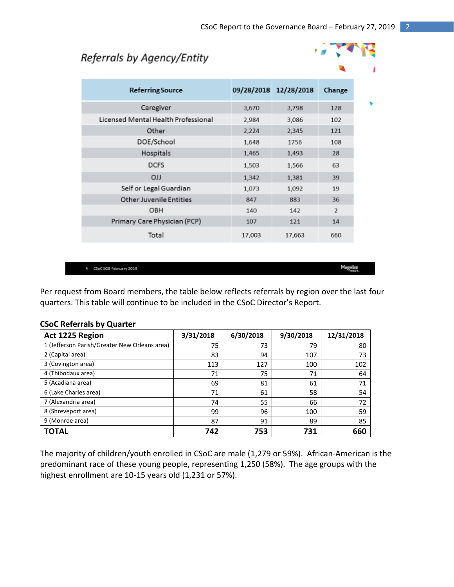# Referrals by Agency/Entity



Magellan<br>Hanza

| <b>Referring Source</b>             |        | 09/28/2018 12/28/2018 | Change         |
|-------------------------------------|--------|-----------------------|----------------|
| Caregiver                           | 3,670  | 3,798                 | 128            |
| Licensed Mental Health Professional | 2,984  | 3,086                 | 102            |
| Other                               | 2,224  | 2,345                 | 121            |
| DOE/School                          | 1,648  | 1756                  | 108            |
| Hospitals                           | 1,465  | 1,493                 | 28             |
| <b>DCFS</b>                         | 1,503  | 1,566                 | 63             |
| LLO                                 | 1,342  | 1,381                 | 39             |
| Self or Legal Guardian              | 1,073  | 1,092                 | 19             |
| <b>Other Juvenile Entities</b>      | 847    | 883                   | 36             |
| OBH                                 | 140    | 142                   | $\overline{z}$ |
| Primary Care Physician (PCP)        | 107    | 121                   | 14             |
| Total                               | 17,003 | 17,663                | 660            |

#### 4 CSoC SGB February 2019

Per request from Board members, the table below reflects referrals by region over the last four quarters. This table will continue to be included in the CSoC Director's Report.

| Act 1225 Region                               | 3/31/2018 | 6/30/2018 | 9/30/2018 | 12/31/2018 |
|-----------------------------------------------|-----------|-----------|-----------|------------|
| 1 (Jefferson Parish/Greater New Orleans area) | 75        | 73        | 79        | 80         |
| 2 (Capital area)                              | 83        | 94        | 107       | 73         |
| 3 (Covington area)                            | 113       | 127       | 100       | 102        |
| 4 (Thibodaux area)                            | 71        | 75        | 71        | 64         |
| 5 (Acadiana area)                             | 69        | 81        | 61        | 71         |
| 6 (Lake Charles area)                         | 71        | 61        | 58        | 54         |
| 7 (Alexandria area)                           | 74        | 55        | 66        | 72         |
| 8 (Shreveport area)                           | 99        | 96        | 100       | 59         |
| 9 (Monroe area)                               | 87        | 91        | 89        | 85         |
| <b>TOTAL</b>                                  | 742       | 753       | 731       | 660        |

#### **CSoC Referrals by Quarter**

The majority of children/youth enrolled in CSoC are male (1,279 or 59%). African-American is the predominant race of these young people, representing 1,250 (58%). The age groups with the highest enrollment are 10-15 years old (1,231 or 57%).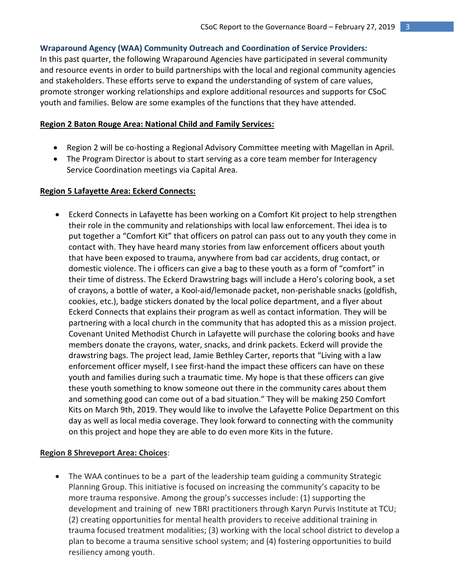### **Wraparound Agency (WAA) Community Outreach and Coordination of Service Providers:**

In this past quarter, the following Wraparound Agencies have participated in several community and resource events in order to build partnerships with the local and regional community agencies and stakeholders. These efforts serve to expand the understanding of system of care values, promote stronger working relationships and explore additional resources and supports for CSoC youth and families. Below are some examples of the functions that they have attended.

#### **Region 2 Baton Rouge Area: National Child and Family Services:**

- Region 2 will be co-hosting a Regional Advisory Committee meeting with Magellan in April.
- The Program Director is about to start serving as a core team member for Interagency Service Coordination meetings via Capital Area.

### **Region 5 Lafayette Area: Eckerd Connects:**

 Eckerd Connects in Lafayette has been working on a Comfort Kit project to help strengthen their role in the community and relationships with local law enforcement. Thei idea is to put together a "Comfort Kit" that officers on patrol can pass out to any youth they come in contact with. They have heard many stories from law enforcement officers about youth that have been exposed to trauma, anywhere from bad car accidents, drug contact, or domestic violence. The i officers can give a bag to these youth as a form of "comfort" in their time of distress. The Eckerd Drawstring bags will include a Hero's coloring book, a set of crayons, a bottle of water, a Kool-aid/lemonade packet, non-perishable snacks (goldfish, cookies, etc.), badge stickers donated by the local police department, and a flyer about Eckerd Connects that explains their program as well as contact information. They will be partnering with a local church in the community that has adopted this as a mission project. Covenant United Methodist Church in Lafayette will purchase the coloring books and have members donate the crayons, water, snacks, and drink packets. Eckerd will provide the drawstring bags. The project lead, Jamie Bethley Carter, reports that "Living with a law enforcement officer myself, I see first-hand the impact these officers can have on these youth and families during such a traumatic time. My hope is that these officers can give these youth something to know someone out there in the community cares about them and something good can come out of a bad situation." They will be making 250 Comfort Kits on March 9th, 2019. They would like to involve the Lafayette Police Department on this day as well as local media coverage. They look forward to connecting with the community on this project and hope they are able to do even more Kits in the future.

#### **Region 8 Shreveport Area: Choices**:

 The WAA continues to be a part of the leadership team guiding a community Strategic Planning Group. This initiative is focused on increasing the community's capacity to be more trauma responsive. Among the group's successes include: (1) supporting the development and training of new TBRI practitioners through Karyn Purvis Institute at TCU; (2) creating opportunities for mental health providers to receive additional training in trauma focused treatment modalities; (3) working with the local school district to develop a plan to become a trauma sensitive school system; and (4) fostering opportunities to build resiliency among youth.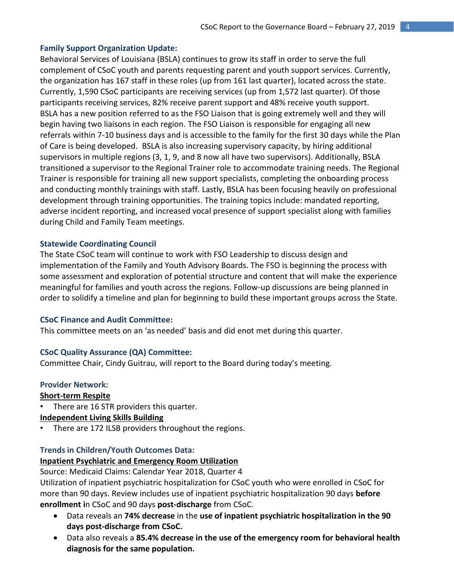#### **Family Support Organization Update:**

Behavioral Services of Louisiana (BSLA) continues to grow its staff in order to serve the full complement of CSoC youth and parents requesting parent and youth support services. Currently, the organization has 167 staff in these roles (up from 161 last quarter), located across the state. Currently, 1,590 CSoC participants are receiving services (up from 1,572 last quarter). Of those participants receiving services, 82% receive parent support and 48% receive youth support. BSLA has a new position referred to as the FSO Liaison that is going extremely well and they will begin having two liaisons in each region. The FSO Liaison is responsible for engaging all new referrals within 7-10 business days and is accessible to the family for the first 30 days while the Plan of Care is being developed. BSLA is also increasing supervisory capacity, by hiring additional supervisors in multiple regions (3, 1, 9, and 8 now all have two supervisors). Additionally, BSLA transitioned a supervisor to the Regional Trainer role to accommodate training needs. The Regional Trainer is responsible for training all new support specialists, completing the onboarding process and conducting monthly trainings with staff. Lastly, BSLA has been focusing heavily on professional development through training opportunities. The training topics include: mandated reporting, adverse incident reporting, and increased vocal presence of support specialist along with families during Child and Family Team meetings.

### **Statewide Coordinating Council**

The State CSoC team will continue to work with FSO Leadership to discuss design and implementation of the Family and Youth Advisory Boards. The FSO is beginning the process with some assessment and exploration of potential structure and content that will make the experience meaningful for families and youth across the regions. Follow-up discussions are being planned in order to solidify a timeline and plan for beginning to build these important groups across the State.

#### **CSoC Finance and Audit Committee:**

This committee meets on an 'as needed' basis and did enot met during this quarter.

## **CSoC Quality Assurance (QA) Committee:**

Committee Chair, Cindy Guitrau, will report to the Board during today's meeting.

## **Provider Network:**

## **Short-term Respite**

There are 16 STR providers this quarter.

## **Independent Living Skills Building**

There are 172 ILSB providers throughout the regions.

## **Trends in Children/Youth Outcomes Data:**

## **Inpatient Psychiatric and Emergency Room Utilization**

Source: Medicaid Claims: Calendar Year 2018, Quarter 4

Utilization of inpatient psychiatric hospitalization for CSoC youth who were enrolled in CSoC for more than 90 days. Review includes use of inpatient psychiatric hospitalization 90 days **before enrollment i**n CSoC and 90 days **post-discharge** from CSoC.

- Data reveals an **74% decrease** in the **use of inpatient psychiatric hospitalization in the 90 days post-discharge from CSoC.**
- Data also reveals a **85.4% decrease in the use of the emergency room for behavioral health diagnosis for the same population.**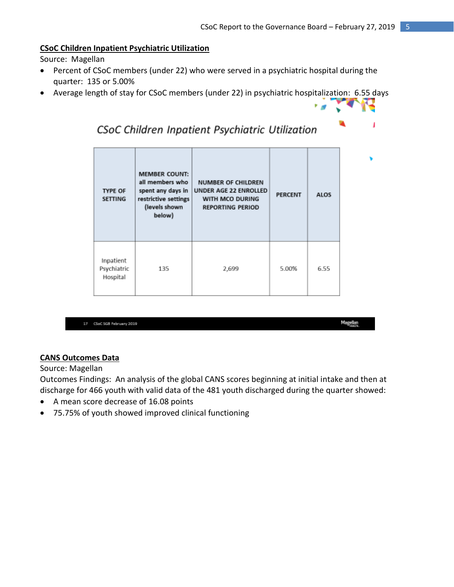#### **CSoC Children Inpatient Psychiatric Utilization**

Source: Magellan

- Percent of CSoC members (under 22) who were served in a psychiatric hospital during the quarter: 135 or 5.00%
- Average length of stay for CSoC members (under 22) in psychiatric hospitalization: 6.55 days

| <b>TYPE OF</b><br><b>SETTING</b>     | <b>MEMBER COUNT:</b><br>all members who<br>spent any days in<br>restrictive settings<br>(levels shown<br>below) | <b>NUMBER OF CHILDREN</b><br>UNDER AGE 22 ENROLLED<br>WITH MCO DURING<br><b>REPORTING PERIOD</b> | <b>PERCENT</b> | <b>ALOS</b> |
|--------------------------------------|-----------------------------------------------------------------------------------------------------------------|--------------------------------------------------------------------------------------------------|----------------|-------------|
| Inpatient<br>Psychiatric<br>Hospital | 135                                                                                                             | 2,699                                                                                            | 5.00%          | 6.55        |

# CSoC Children Inpatient Psychiatric Utilization

| 17 CSpC SGB February 2019 |  |
|---------------------------|--|

Magellan

#### **CANS Outcomes Data**

Source: Magellan

Outcomes Findings: An analysis of the global CANS scores beginning at initial intake and then at discharge for 466 youth with valid data of the 481 youth discharged during the quarter showed:

- A mean score decrease of 16.08 points
- 75.75% of youth showed improved clinical functioning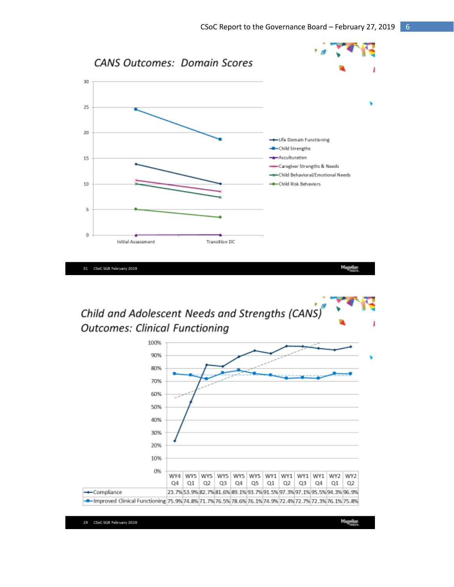

Child and Adolescent Needs and Strengths (CANS) **Outcomes: Clinical Functioning** 

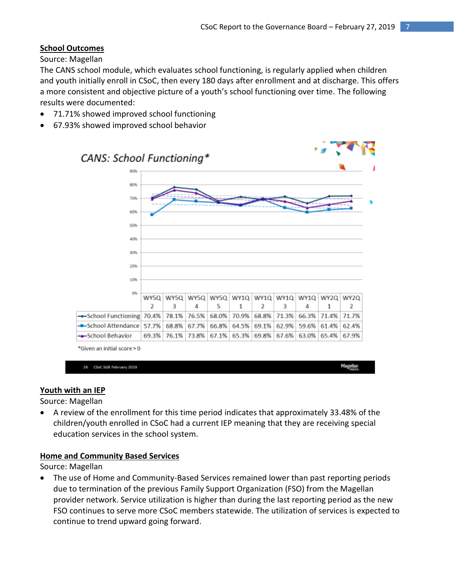Magellan

## **School Outcomes**

Source: Magellan

The CANS school module, which evaluates school functioning, is regularly applied when children and youth initially enroll in CSoC, then every 180 days after enrollment and at discharge. This offers a more consistent and objective picture of a youth's school functioning over time. The following results were documented:

- 71.71% showed improved school functioning
- 67.93% showed improved school behavior



#### **Youth with an IEP**

Source: Magellan

 A review of the enrollment for this time period indicates that approximately 33.48% of the children/youth enrolled in CSoC had a current IEP meaning that they are receiving special education services in the school system.

## **Home and Community Based Services**

26 CSoC SGB Pebruary 2019

Source: Magellan

 The use of Home and Community-Based Services remained lower than past reporting periods due to termination of the previous Family Support Organization (FSO) from the Magellan provider network. Service utilization is higher than during the last reporting period as the new FSO continues to serve more CSoC members statewide. The utilization of services is expected to continue to trend upward going forward.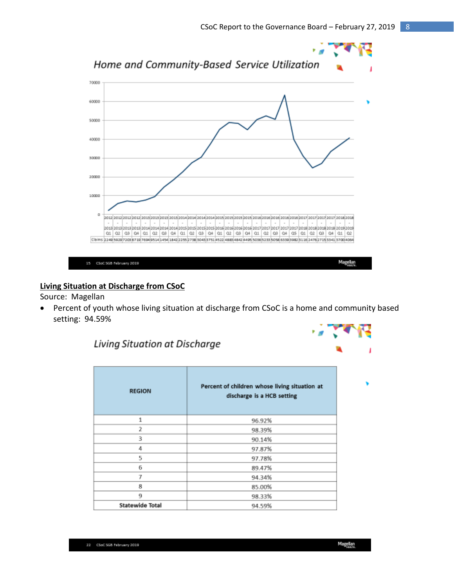

## **Living Situation at Discharge from CSoC**

Source: Magellan

 Percent of youth whose living situation at discharge from CSoC is a home and community based setting: 94.59%

| <b>REGION</b>           | Percent of children whose living situation at<br>discharge is a HCB setting |
|-------------------------|-----------------------------------------------------------------------------|
| 1                       | 96.92%                                                                      |
| $\overline{\mathbf{z}}$ | 98.39%                                                                      |
| 3                       | 90.14%                                                                      |
| 4                       | 97.87%                                                                      |
| 5                       | 97.78%                                                                      |
| 6                       | 89.47%                                                                      |
| 7                       | 94.34%                                                                      |
| 8                       | 85.00%                                                                      |
| 9                       | 98.33%                                                                      |
| <b>Statewide Total</b>  | 94.59%                                                                      |

Living Situation at Discharge